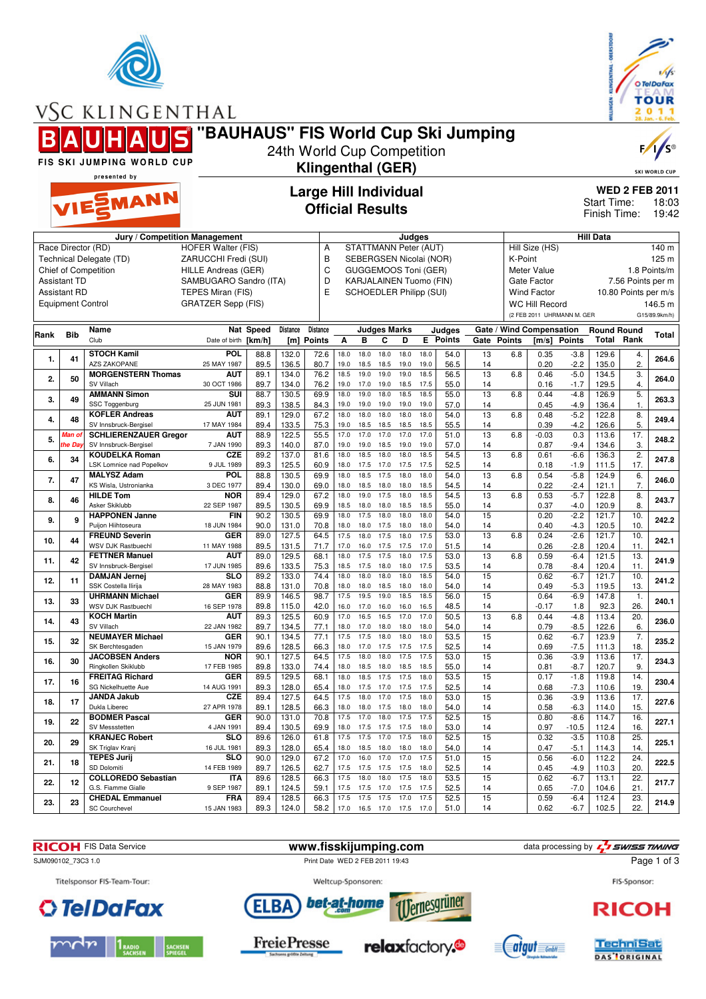

VSC KLINGENTHAL

O Tel Da Fax **TOUR**  $\bf{o}$ 

**"BAUHAUS" FIS World Cup Ski Jumping**

FIS SKI JUMPING WORLD CUP

## 24th World Cup Competition **Klingenthal (GER)**



presented by EMANN

## **Large Hill Individual Official Results**

**WED 2 FEB 2011** 18:03 Finish Time: 19:42 Start Time:

| Jury / Competition Management                   |                                                 |                              |                           |           |          |                 |                                                 | Judges                         |                     |      |      |                 |    |                          | <b>Hill Data</b>        |                            |                    |                      |               |  |
|-------------------------------------------------|-------------------------------------------------|------------------------------|---------------------------|-----------|----------|-----------------|-------------------------------------------------|--------------------------------|---------------------|------|------|-----------------|----|--------------------------|-------------------------|----------------------------|--------------------|----------------------|---------------|--|
| <b>HOFER Walter (FIS)</b><br>Race Director (RD) |                                                 |                              |                           |           |          |                 | STATTMANN Peter (AUT)<br>A                      |                                |                     |      |      |                 |    |                          | Hill Size (HS)<br>140 m |                            |                    |                      |               |  |
|                                                 | Technical Delegate (TD)<br>ZARUCCHI Fredi (SUI) |                              |                           |           |          |                 |                                                 | B<br>SEBERGSEN Nicolai (NOR)   |                     |      |      |                 |    |                          | K-Point<br>125 m        |                            |                    |                      |               |  |
| Chief of Competition<br>HILLE Andreas (GER)     |                                                 |                              |                           |           |          |                 | C<br><b>GUGGEMOOS Toni (GER)</b><br>Meter Value |                                |                     |      |      |                 |    |                          |                         | 1.8 Points/m               |                    |                      |               |  |
| <b>Assistant TD</b><br>SAMBUGARO Sandro (ITA)   |                                                 |                              |                           |           |          |                 |                                                 | <b>KARJALAINEN Tuomo (FIN)</b> |                     |      |      |                 |    |                          | Gate Factor             |                            |                    | 7.56 Points per m    |               |  |
|                                                 | <b>Assistant RD</b>                             |                              | TEPES Miran (FIS)         |           |          | D<br>E          |                                                 | <b>SCHOEDLER Philipp (SUI)</b> |                     |      |      |                 |    |                          | <b>Wind Factor</b>      |                            |                    | 10.80 Points per m/s |               |  |
|                                                 |                                                 |                              | <b>GRATZER Sepp (FIS)</b> |           |          |                 |                                                 |                                |                     |      |      |                 |    |                          |                         |                            |                    |                      |               |  |
|                                                 | <b>Equipment Control</b>                        |                              |                           |           |          |                 |                                                 |                                |                     |      |      |                 |    |                          | <b>WC Hill Record</b>   |                            |                    |                      | 146.5 m       |  |
|                                                 |                                                 |                              |                           |           |          |                 |                                                 |                                |                     |      |      |                 |    |                          |                         | (2 FEB 2011 UHRMANN M. GER |                    |                      | G15/89.9km/h) |  |
| Rank                                            | <b>Bib</b>                                      | Name                         |                           | Nat Speed | Distance | <b>Distance</b> |                                                 |                                | <b>Judges Marks</b> |      |      | Judges          |    | Gate / Wind Compensation |                         |                            | <b>Round Round</b> |                      | <b>Total</b>  |  |
|                                                 |                                                 | Club                         | Date of birth             | [km/h]    | [m]      | <b>Points</b>   | A                                               | B                              | C                   | D    |      | <b>E</b> Points |    | Gate Points              | [m/s]                   | <b>Points</b>              |                    | <b>Total Rank</b>    |               |  |
|                                                 |                                                 | <b>STOCH Kamil</b>           | <b>POL</b>                | 88.8      | 132.0    | 72.6            | 18.0                                            | 18.0                           | 18.0                | 18.0 | 18.0 | 54.0            | 13 | 6.8                      | 0.35                    | $-3.8$                     | 129.6              | 4.                   |               |  |
| 1.                                              | 41                                              | <b>AZS ZAKOPANE</b>          | 25 MAY 1987               | 89.5      | 136.5    | 80.7            | 19.0                                            | 18.5                           | 18.5                | 19.0 | 19.0 | 56.5            | 14 |                          | 0.20                    | $-2.2$                     | 135.0              | 2.                   | 264.6         |  |
|                                                 |                                                 | <b>MORGENSTERN Thomas</b>    | <b>AUT</b>                | 89.1      | 134.0    | 76.2            | 18.5                                            | 19.0                           | 19.0                | 19.0 | 18.5 | 56.5            | 13 | 6.8                      | 0.46                    | $-5.0$                     | 134.5              | 3.                   |               |  |
| 2.                                              | 50                                              | SV Villach                   | 30 OCT 1986               | 89.7      | 134.0    | 76.2            | 19.0                                            | 17.0                           | 19.0                | 18.5 | 17.5 | 55.0            | 14 |                          | 0.16                    | $-1.7$                     | 129.5              | 4.                   | 264.0         |  |
|                                                 |                                                 | <b>AMMANN Simon</b>          | SUI                       | 88.7      | 130.5    | 69.9            | 18.0                                            | 19.0                           | 18.0                | 18.5 | 18.5 | 55.0            | 13 | 6.8                      | 0.44                    | $-4.8$                     | 126.9              | 5.                   |               |  |
| 3.                                              | 49                                              | SSC Toggenburg               | 25 JUN 1981               | 89.3      | 138.5    | 84.3            | 19.0                                            | 19.0                           | 19.0                | 19.0 | 19.0 | 57.0            | 14 |                          | 0.45                    | $-4.9$                     | 136.4              | 1.                   | 263.3         |  |
|                                                 |                                                 | <b>KOFLER Andreas</b>        | <b>AUT</b>                | 89.1      | 129.0    | 67.2            | 18.0                                            | 18.0                           | 18.0                | 18.0 | 18.0 | 54.0            | 13 | 6.8                      | 0.48                    | $-5.2$                     | 122.8              | 8.                   |               |  |
| 4.                                              | 48                                              | SV Innsbruck-Bergisel        | 17 MAY 1984               | 89.4      | 133.5    | 75.3            | 19.0                                            | 18.5                           | 18.5                | 18.5 | 18.5 | 55.5            | 14 |                          | 0.39                    | $-4.2$                     | 126.6              | 5.                   | 249.4         |  |
|                                                 | Man o                                           | <b>SCHLIERENZAUER Gregor</b> | <b>AUT</b>                | 88.9      | 122.5    | 55.5            | 17.0                                            | 17.0                           | 17.0                | 17.0 | 17.0 | 51.0            | 13 | 6.8                      | $-0.03$                 | 0.3                        | 113.6              | 17.                  |               |  |
| 5.                                              | he Da                                           | SV Innsbruck-Bergisel        | 7 JAN 1990                | 89.3      | 140.0    | 87.0            | 19.0                                            | 19.0                           | 18.5                | 19.0 | 19.0 | 57.0            | 14 |                          | 0.87                    | $-9.4$                     | 134.6              | 3.                   | 248.2         |  |
|                                                 |                                                 | <b>KOUDELKA Roman</b>        | <b>CZE</b>                | 89.2      | 137.0    | 81.6            | 18.0                                            | 18.5                           | 18.0                | 18.0 | 18.5 | 54.5            | 13 | 6.8                      | 0.61                    | $-6.6$                     | 136.3              | $\overline{2}$       |               |  |
| 6.                                              | 34                                              | LSK Lomnice nad Popelkov     | 9 JUL 1989                | 89.3      | 125.5    | 60.9            | 18.0                                            | 17.5                           | 17.0                | 17.5 | 17.5 | 52.5            | 14 |                          | 0.18                    | $-1.9$                     | 111.5              | 17.                  | 247.8         |  |
|                                                 |                                                 | <b>MALYSZ Adam</b>           | POL                       | 88.8      | 130.5    | 69.9            | 18.0                                            | 18.5                           | 17.5                | 18.0 | 18.0 | 54.0            | 13 | 6.8                      | 0.54                    | $-5.8$                     | 124.9              | 6.                   |               |  |
| 7.                                              | 47                                              | KS Wisla, Ustronianka        | 3 DEC 1977                | 89.4      | 130.0    | 69.0            | 18.0                                            | 18.5                           | 18.0                | 18.0 | 18.5 | 54.5            | 14 |                          | 0.22                    | $-2.4$                     | 121.1              | 7.                   | 246.0         |  |
|                                                 |                                                 | <b>HILDE Tom</b>             | <b>NOR</b>                | 89.4      | 129.0    | 67.2            | 18.0                                            | 19.0                           | 17.5                | 18.0 | 18.5 | 54.5            | 13 | 6.8                      | 0.53                    | $-5.7$                     | 122.8              | 8.                   |               |  |
| 8.                                              | 46                                              | Asker Skiklubb               | 22 SEP 1987               | 89.5      | 130.5    | 69.9            | 18.5                                            | 18.0                           | 18.0                | 18.5 | 18.5 | 55.0            | 14 |                          | 0.37                    | $-4.0$                     | 120.9              | 8.                   | 243.7         |  |
|                                                 | q                                               | <b>HAPPONEN Janne</b>        | <b>FIN</b>                | 90.2      | 130.5    | 69.9            | 18.0                                            | 17.5                           | 18.0                | 18.0 | 18.0 | 54.0            | 15 |                          | 0.20                    | $-2.2$                     | 121.7              | 10.                  | 242.2         |  |
| 9.                                              |                                                 | Puijon Hiihtoseura           | 18 JUN 1984               | 90.0      | 131.0    | 70.8            | 18.0                                            | 18.0                           | 17.5                | 18.0 | 18.0 | 54.0            | 14 |                          | 0.40                    | $-4.3$                     | 120.5              | 10.                  |               |  |
| 10.                                             | 44                                              | <b>FREUND Severin</b>        | <b>GER</b>                | 89.0      | 127.5    | 64.5            | 17.5                                            | 18.0                           | 17.5                | 18.0 | 17.5 | 53.0            | 13 | 6.8                      | 0.24                    | $-2.6$                     | 121.7              | 10.                  | 242.1         |  |
|                                                 |                                                 | <b>WSV DJK Rastbuechl</b>    | 11 MAY 1988               | 89.5      | 131.5    | 71.7            | 17.0                                            | 16.0                           | 17.5                | 17.5 | 17.0 | 51.5            | 14 |                          | 0.26                    | $-2.8$                     | 120.4              | 11.                  |               |  |
|                                                 | 42                                              | <b>FETTNER Manuel</b>        | <b>AUT</b>                | 89.0      | 129.5    | 68.1            | 18.0                                            | 17.5                           | 17.5                | 18.0 | 17.5 | 53.0            | 13 | 6.8                      | 0.59                    | $-6.4$                     | 121.5              | 13.                  | 241.9         |  |
| 11.                                             |                                                 | SV Innsbruck-Bergisel        | 17 JUN 1985               | 89.6      | 133.5    | 75.3            | 18.5                                            | 17.5                           | 18.0                | 18.0 | 17.5 | 53.5            | 14 |                          | 0.78                    | $-8.4$                     | 120.4              | 11.                  |               |  |
| 12.                                             | 11                                              | <b>DAMJAN Jernej</b>         | SLO                       | 89.2      | 133.0    | 74.4            | 18.0                                            | 18.0                           | 18.0                | 18.0 | 18.5 | 54.0            | 15 |                          | 0.62                    | $-6.7$                     | 121.7              | 10.                  | 241.2         |  |
|                                                 |                                                 | SSK Costella Ilirija         | 28 MAY 1983               | 88.8      | 131.0    | 70.8            | 18.0                                            | 18.0                           | 18.5                | 18.0 | 18.0 | 54.0            | 14 |                          | 0.49                    | $-5.3$                     | 119.5              | 13.                  |               |  |
| 13.                                             | 33                                              | <b>UHRMANN Michael</b>       | <b>GER</b>                | 89.9      | 146.5    | 98.7            | 17.5                                            | 19.5                           | 19.0                | 18.5 | 18.5 | 56.0            | 15 |                          | 0.64                    | $-6.9$                     | 147.8              | 1.                   | 240.1         |  |
|                                                 |                                                 | <b>WSV DJK Rastbuechl</b>    | 16 SEP 1978               | 89.8      | 115.0    | 42.0            | 16.0                                            | 17.0                           | 16.0                | 16.0 | 16.5 | 48.5            | 14 |                          | $-0.17$                 | 1.8                        | 92.3               | 26.                  |               |  |
| 14.                                             | 43                                              | <b>KOCH Martin</b>           | AUT                       | 89.3      | 125.5    | 60.9            | 17.0                                            | 16.5                           | 16.5                | 17.0 | 17.0 | 50.5            | 13 | 6.8                      | 0.44                    | $-4.8$                     | 113.4              | 20.                  | 236.0         |  |
|                                                 |                                                 | SV Villach                   | 22 JAN 1982               | 89.7      | 134.5    | 77.1            | 18.0                                            | 17.0                           | 18.0                | 18.0 | 18.0 | 54.0            | 14 |                          | 0.79                    | $-8.5$                     | 122.6              | 6.                   |               |  |
| 15.                                             | 32                                              | <b>NEUMAYER Michael</b>      | <b>GER</b>                | 90.1      | 134.5    | 77.1            | 17.5                                            | 17.5                           | 18.0                | 18.0 | 18.0 | 53.5            | 15 |                          | 0.62                    | $-6.7$                     | 123.9              | 7.                   | 235.2         |  |
|                                                 |                                                 | SK Berchtesgaden             | 15 JAN 1979               | 89.6      | 128.5    | 66.3            | 18.0                                            | 17.0                           | 17.5                | 17.5 | 17.5 | 52.5            | 14 |                          | 0.69                    | $-7.5$                     | 111.3              | 18.                  |               |  |
| 16.                                             | 30                                              | <b>JACOBSEN Anders</b>       | <b>NOR</b>                | 90.1      | 127.5    | 64.5            | 17.5                                            | 18.0                           | 18.0                | 17.5 | 17.5 | 53.0            | 15 |                          | 0.36                    | $-3.9$                     | 113.6              | 17.                  | 234.3         |  |
|                                                 |                                                 | Ringkollen Skiklubb          | 17 FEB 1985               | 89.8      | 133.0    | 74.4            | 18.0                                            | 18.5                           | 18.0                | 18.5 | 18.5 | 55.0            | 14 |                          | 0.81                    | $-8.7$                     | 120.7              | 9.                   |               |  |
| 17.                                             | 16                                              | <b>FREITAG Richard</b>       | <b>GER</b>                | 89.5      | 129.5    | 68.1            | 18.0                                            | 18.5                           | 17.5                | 17.5 | 18.0 | 53.5            | 15 |                          | 0.17                    | $-1.8$                     | 119.8              | 14.                  | 230.4         |  |
|                                                 |                                                 | SG Nickelhuette Aue          | 14 AUG 1991               | 89.3      | 128.0    | 65.4            | 18.0                                            | 17.5                           | 17.0                | 17.5 | 17.5 | 52.5            | 14 |                          | 0.68                    | $-7.3$                     | 110.6              | 19.                  |               |  |
| 18.                                             | 17                                              | <b>JANDA Jakub</b>           | <b>CZE</b>                | 89.4      | 127.5    | 64.5            | 17.5                                            | 18.0                           | 17.0                | 17.5 | 18.0 | 53.0            | 15 |                          | 0.36                    | $-3.9$                     | 113.6              | 17.                  | 227.6         |  |
|                                                 |                                                 | Dukla Liberec                | 27 APR 1978               | 89.1      | 128.5    | 66.3            | 18.0                                            | 18.0                           | 17.5                | 18.0 | 18.0 | 54.0            | 14 |                          | 0.58                    | $-6.3$                     | 114.0              | 15.                  |               |  |
| 19.                                             | 22                                              | <b>BODMER Pascal</b>         | <b>GER</b>                | 90.0      | 131.0    | 70.8            | 17.5                                            | 17.0                           | 18.0                | 17.5 | 17.5 | 52.5            | 15 |                          | 0.80                    | $-8.6$                     | 114.7              | 16.                  | 227.1         |  |
|                                                 |                                                 | SV Messstetten               | 4 JAN 1991                | 89.4      | 130.5    | 69.9            | 18.0                                            | 17.5                           | 17.5                | 17.5 | 18.0 | 53.0            | 14 |                          | 0.97                    | $-10.5$                    | 112.4              | 16.                  |               |  |
| 20.                                             | 29                                              | <b>KRANJEC Robert</b>        | SLO                       | 89.6      | 126.0    | 61.8            | 17.5                                            | 17.5                           | 17.0                | 17.5 | 18.0 | 52.5            | 15 |                          | 0.32                    | $-3.5$                     | 110.8              | 25.                  | 225.1         |  |
|                                                 |                                                 | SK Triglav Kranj             | 16 JUL 1981               | 89.3      | 128.0    | 65.4            | 18.0                                            | 18.5                           | 18.0                | 18.0 | 18.0 | 54.0            | 14 |                          | 0.47                    | $-5.1$                     | 114.3              | 14.                  |               |  |
| 21.                                             | 18                                              | <b>TEPES Jurij</b>           | <b>SLO</b>                | 90.0      | 129.0    | 67.2            | 17.0                                            | 16.0                           | 17.0                | 17.0 | 17.5 | 51.0            | 15 |                          | 0.56                    | $-6.0$                     | 112.2              | 24.                  | 222.5         |  |
|                                                 |                                                 | SD Dolomiti                  | 14 FEB 1989               | 89.7      | 126.5    | 62.7            | 17.5                                            | 17.5                           | 17.5                | 17.5 | 18.0 | 52.5            | 14 |                          | 0.45                    | $-4.9$                     | 110.3              | 20.                  |               |  |
| 22.                                             | 12                                              | <b>COLLOREDO Sebastian</b>   | <b>ITA</b>                | 89.6      | 128.5    | 66.3            | 17.5                                            | 18.0                           | 18.0                | 17.5 | 18.0 | 53.5            | 15 |                          | 0.62                    | $-6.7$                     | 113.1              | 22.                  | 217.7         |  |
|                                                 |                                                 | G.S. Fiamme Gialle           | 9 SEP 1987                | 89.1      | 124.5    | 59.1            | 17.5                                            | 17.5                           | 17.0                | 17.5 | 17.5 | 52.5            | 14 |                          | 0.65                    | $-7.0$                     | 104.6              | 21.                  |               |  |
| 23.                                             | 23                                              | <b>CHEDAL Emmanuel</b>       | <b>FRA</b>                | 89.4      | 128.5    | 66.3            | 17.5                                            | 17.5                           | 17.5                | 17.0 | 17.5 | 52.5            | 15 |                          | 0.59                    | $-6.4$                     | 112.4              | 23.                  | 214.9         |  |
|                                                 |                                                 | <b>SC Courchevel</b>         | 15 JAN 1983               | 89.3      | 124.0    | 58.2            | 17.0                                            | 16.5                           | 17.0                | 17.5 | 17.0 | 51.0            | 14 |                          | 0.62                    | $-6.7$                     | 102.5              | 22.                  |               |  |





relaxfactory.<sup>®</sup>



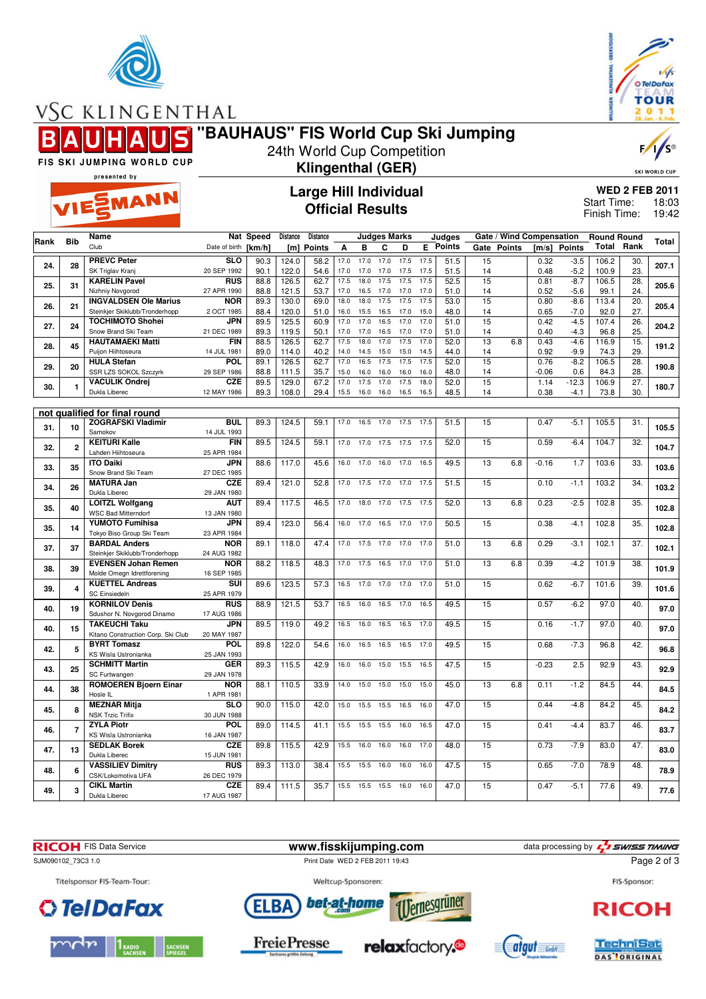

VSC KLINGENTHAL

O Tel Da Fax **TOUR**  $\bf{o}$ 

## **"BAUHAUS" FIS World Cup Ski Jumping**

FIS SKI JUMPING WORLD CUP

## 24th World Cup Competition **Klingenthal (GER)**

## SKI WORLD CUP

F,

presented by

# EMANN

## **Large Hill Individual Official Results**

**WED 2 FEB 2011** 18:03 Finish Time: 19:42 Start Time:

|                               |                         | Name                                                 |                           | Nat Speed    | Distance       | <b>Distance</b> |              |              | Judges Marks |              |              | Judges        |                 | Gate / Wind Compensation |                 |                | <b>Round Round</b> |                 |       |
|-------------------------------|-------------------------|------------------------------------------------------|---------------------------|--------------|----------------|-----------------|--------------|--------------|--------------|--------------|--------------|---------------|-----------------|--------------------------|-----------------|----------------|--------------------|-----------------|-------|
| Rank                          | <b>Bib</b>              | Club                                                 | Date of birth [km/h]      |              |                | [m] Points      | Α            | в            | C            | D            | E.           | <b>Points</b> |                 | Gate Points              | [m/s]           | <b>Points</b>  | Total              | Rank            | Total |
|                               |                         | <b>PREVC Peter</b>                                   | <b>SLO</b>                | 90.3         | 124.0          | 58.2            | 17.0         | 17.0         | 17.0         | 17.5         | 17.5         | 51.5          | 15              |                          | 0.32            | $-3.5$         | 106.2              | 30.             |       |
| 24.                           | 28                      | SK Triglav Kranj                                     | 20 SEP 1992               | 90.1         | 122.0          | 54.6            | 17.0         | 17.0         | 17.0         | 17.5         | 17.5         | 51.5          | 14              |                          | 0.48            | $-5.2$         | 100.9              | 23.             | 207.1 |
|                               |                         | <b>KARELIN Pavel</b>                                 | <b>RUS</b>                | 88.8         | 126.5          | 62.7            | 17.5         | 18.0         | 17.5         | 17.5         | 17.5         | 52.5          | 15              |                          | 0.81            | $-8.7$         | 106.5              | 28.             |       |
| 25.                           | 31                      | Nizhniy Novgorod                                     | 27 APR 1990               | 88.8         | 121.5          | 53.7            | 17.0         | 16.5         | 17.0         | 17.0         | 17.0         | 51.0          | 14              |                          | 0.52            | $-5.6$         | 99.1               | 24.             | 205.6 |
| 26.                           | 21                      | <b>INGVALDSEN Ole Marius</b>                         | <b>NOR</b>                | 89.3         | 130.0          | 69.0            | 18.0         | 18.0         | 17.5         | 17.5         | 17.5         | 53.0          | 15              |                          | 0.80            | $-8.6$         | 113.4              | 20.             | 205.4 |
|                               |                         | Steinkjer Skiklubb/Tronderhopp                       | 2 OCT 1985                | 88.4         | 120.0          | 51.0            | 16.0         |              | 15.5 16.5    | 17.0         | 15.0         | 48.0          | 14              |                          | 0.65            | $-7.0$         | 92.0               | 27.             |       |
| 27.                           | 24                      | <b>TOCHIMOTO Shohei</b>                              | <b>JPN</b>                | 89.5         | 125.5          | 60.9            | 17.0         | 17.0         | 16.5         | 17.0         | 17.0         | 51.0          | 15              |                          | 0.42            | $-4.5$         | 107.4              | 26.             | 204.2 |
|                               |                         | Snow Brand Ski Team                                  | 21 DEC 1989               | 89.3         | 119.5          | 50.1            | 17.0         | 17.0         | 16.5         | 17.0         | 17.0         | 51.0          | 14              |                          | 0.40            | $-4.3$         | 96.8               | 25.             |       |
| 28.                           | 45                      | <b>HAUTAMAEKI Matti</b>                              | <b>FIN</b>                | 88.5         | 126.5          | 62.7            | 17.5         | 18.0         | 17.0         | 17.5         | 17.0         | 52.0          | $\overline{13}$ | 6.8                      | 0.43            | $-4.6$         | 116.9              | 15.             | 191.2 |
|                               |                         | Puijon Hiihtoseura                                   | 14 JUL 1981               | 89.0         | 114.0          | 40.2            | 14.0         | 14.5         | 15.0         | 15.0         | 14.5         | 44.0          | 14              |                          | 0.92            | $-9.9$         | 74.3               | 29.             |       |
| 29.                           | 20                      | <b>HULA Stefan</b><br>SSR LZS SOKOL Szczyrk          | POL<br>29 SEP 1986        | 89.1         | 126.5          | 62.7            | 17.0         | 16.5         | 17.5         | 17.5<br>16.0 | 17.5<br>16.0 | 52.0          | 15              |                          | 0.76<br>$-0.06$ | $-8.2$         | 106.5              | 28.<br>28.      | 190.8 |
|                               |                         | <b>VACULIK Ondrej</b>                                | <b>CZE</b>                | 88.8<br>89.5 | 111.5<br>129.0 | 35.7<br>67.2    | 15.0<br>17.0 | 16.0<br>17.5 | 16.0<br>17.0 | 17.5         | 18.0         | 48.0<br>52.0  | 14<br>15        |                          | 1.14            | 0.6<br>$-12.3$ | 84.3<br>106.9      | 27.             |       |
| 30.                           | 1                       | Dukla Liberec                                        | 12 MAY 1986               | 89.3         | 108.0          | 29.4            | 15.5         | 16.0         | 16.0         | 16.5         | 16.5         | 48.5          | 14              |                          | 0.38            | $-4.1$         | 73.8               | 30.             | 180.7 |
|                               |                         |                                                      |                           |              |                |                 |              |              |              |              |              |               |                 |                          |                 |                |                    |                 |       |
| not qualified for final round |                         |                                                      |                           |              |                |                 |              |              |              |              |              |               |                 |                          |                 |                |                    |                 |       |
|                               |                         | <b>ZOGRAFSKI Vladimir</b>                            | <b>BUL</b>                | 89.3         | 124.5          | 59.1            | 17.0         | 16.5         | 17.0         | 17.5         | 17.5         | 51.5          | 15              |                          | 0.47            | $-5.1$         | 105.5              | 31.             |       |
| 31.                           | 10                      | Samokov                                              | 14 JUL 1993               |              |                |                 |              |              |              |              |              |               |                 |                          |                 |                |                    |                 | 105.5 |
| 32.                           | $\mathbf{2}$            | <b>KEITURI Kalle</b>                                 | <b>FIN</b>                | 89.5         | 124.5          | 59.1            | 17.0         | 17.0         | 17.5         | 17.5         | 17.5         | 52.0          | 15              |                          | 0.59            | $-6.4$         | 104.7              | 32.             |       |
|                               |                         | Lahden Hiihtoseura                                   | 25 APR 1984               |              |                |                 |              |              |              |              |              |               |                 |                          |                 |                |                    |                 | 104.7 |
| 33.                           | 35                      | <b>ITO Daiki</b>                                     | <b>JPN</b>                | 88.6         | 117.0          | 45.6            | 16.0         | 17.0         | 16.0         | 17.0         | 16.5         | 49.5          | 13              | 6.8                      | $-0.16$         | 1.7            | 103.6              | 33.             | 103.6 |
|                               |                         | Snow Brand Ski Team                                  | 27 DEC 1985               |              |                |                 |              |              |              |              |              |               |                 |                          |                 |                |                    |                 |       |
| 34.                           | 26                      | <b>MATURA Jan</b>                                    | <b>CZE</b>                | 89.4         | 121.0          | 52.8            | 17.0         | 17.5         | 17.0         | 17.0         | 17.5         | 51.5          | 15              |                          | 0.10            | $-1.1$         | 103.2              | 34.             | 103.2 |
|                               |                         | Dukla Liberec                                        | 29 JAN 1980               |              |                |                 |              |              |              |              |              |               |                 |                          |                 |                |                    |                 |       |
| 35.                           | 40                      | <b>LOITZL Wolfgang</b>                               | AUT                       | 89.4         | 117.5          | 46.5            | 17.0         | 18.0         | 17.0         | 17.5         | 17.5         | 52.0          | 13              | 6.8                      | 0.23            | $-2.5$         | 102.8              | $\overline{35}$ | 102.8 |
|                               |                         | <b>WSC Bad Mitterndorf</b><br><b>YUMOTO Fumihisa</b> | 13 JAN 1980<br><b>JPN</b> | 89.4         |                | 56.4            |              |              |              | 17.0         | 17.0         |               | 15              |                          | 0.38            | $-4.1$         | 102.8              | 35.             |       |
| 35.                           | 14                      | Tokyo Biso Group Ski Team                            | 23 APR 1984               |              | 123.0          |                 | 16.0         | 17.0         | 16.5         |              |              | 50.5          |                 |                          |                 |                |                    |                 | 102.8 |
|                               |                         | <b>BARDAL Anders</b>                                 | <b>NOR</b>                | 89.1         | 118.0          | 47.4            | 17.0         | 17.5         | 17.0         | 17.0         | 17.0         | 51.0          | 13              | 6.8                      | 0.29            | $-3.1$         | 102.1              | 37.             |       |
| 37.                           | 37                      | Steinkjer Skiklubb/Tronderhopp                       | 24 AUG 1982               |              |                |                 |              |              |              |              |              |               |                 |                          |                 |                |                    |                 | 102.1 |
|                               |                         | <b>EVENSEN Johan Remen</b>                           | <b>NOR</b>                | 88.2         | 118.5          | 48.3            | 17.0         | 17.5         | 16.5         | 17.0         | 17.0         | 51.0          | 13              | 6.8                      | 0.39            | $-4.2$         | 101.9              | 38.             |       |
| 38.                           | 39                      | Molde Omegn Idrettforening                           | 16 SEP 1985               |              |                |                 |              |              |              |              |              |               |                 |                          |                 |                |                    |                 | 101.9 |
|                               |                         | <b>KUETTEL Andreas</b>                               | SUI                       | 89.6         | 123.5          | 57.3            | 16.5         | 17.0         | 17.0         | 17.0         | 17.0         | 51.0          | 15              |                          | 0.62            | $-6.7$         | 101.6              | 39.             |       |
| 39.                           | $\overline{\mathbf{A}}$ | <b>SC Einsiedeln</b>                                 | 25 APR 1979               |              |                |                 |              |              |              |              |              |               |                 |                          |                 |                |                    |                 | 101.6 |
| 40.                           | 19                      | <b>KORNILOV Denis</b>                                | <b>RUS</b>                | 88.9         | 121.5          | 53.7            | 16.5         | 16.0         | 16.5         | 17.0         | 16.5         | 49.5          | 15              |                          | 0.57            | $-6.2$         | 97.0               | 40.             | 97.0  |
|                               |                         | Sdushor N. Novgorod Dinamo                           | 17 AUG 1986               |              |                |                 |              |              |              |              |              |               |                 |                          |                 |                |                    |                 |       |
| 40.                           | 15                      | <b>TAKEUCHI Taku</b>                                 | <b>JPN</b>                | 89.5         | 119.0          | 49.2            | 16.5         | 16.0         | 16.5         | 16.5         | 17.0         | 49.5          | 15              |                          | 0.16            | $-1.7$         | 97.0               | 40.             | 97.0  |
|                               |                         | Kitano Construction Corp. Ski Club                   | 20 MAY 1987               |              |                |                 |              |              |              |              |              |               |                 |                          |                 |                |                    |                 |       |
| 42.                           | 5                       | <b>BYRT Tomasz</b>                                   | <b>POL</b>                | 89.8         | 122.0          | 54.6            | 16.0         | 16.5         | 16.5         | 16.5         | 17.0         | 49.5          | 15              |                          | 0.68            | $-7.3$         | 96.8               | 42.             | 96.8  |
|                               |                         | KS Wisla Ustronianka                                 | 25 JAN 1993               |              |                |                 |              |              |              |              |              |               |                 |                          |                 |                |                    |                 |       |
| 43.                           | 25                      | <b>SCHMITT Martin</b>                                | <b>GER</b>                | 89.3         | 115.5          | 42.9            | 16.0         | 16.0         | 15.0         | 15.5         | 16.5         | 47.5          | 15              |                          | $-0.23$         | 2.5            | 92.9               | 43.             | 92.9  |
|                               |                         | SC Furtwangen                                        | 29 JAN 1978<br><b>NOR</b> | 88.1         |                |                 |              |              | 15.0         | 15.0         | 15.0         | 45.0          | 13              | 6.8                      | 0.11            | $-1.2$         | 84.5               | 44.             |       |
| 44.                           | 38                      | <b>ROMOEREN Bjoern Einar</b><br>Hosle IL             |                           |              | 110.5          | 33.9            | 14.0         | 15.0         |              |              |              |               |                 |                          |                 |                |                    |                 | 84.5  |
|                               |                         | <b>MEZNAR Mitja</b>                                  | 1 APR 1981<br><b>SLO</b>  | 90.0         | 115.0          | 42.0            | 15.0         | 15.5         | 15.5         | 16.5         | 16.0         | 47.0          | 15              |                          | 0.44            | $-4.8$         | 84.2               | 45.             |       |
| 45.                           | 8                       | <b>NSK Trzic Trifix</b>                              | 30 JUN 1988               |              |                |                 |              |              |              |              |              |               |                 |                          |                 |                |                    |                 | 84.2  |
|                               |                         | <b>ZYLA Piotr</b>                                    | <b>POL</b>                | 89.0         | 114.5          | 41.1            | 15.5         | 15.5         | 15.5         | 16.0         | 16.5         | 47.0          | 15              |                          | 0.41            | $-4.4$         | 83.7               | 46.             |       |
| 46.                           | $\overline{7}$          | <b>KS Wisla Ustronianka</b>                          | 16 JAN 1987               |              |                |                 |              |              |              |              |              |               |                 |                          |                 |                |                    |                 | 83.7  |
|                               |                         | <b>SEDLAK Borek</b>                                  | <b>CZE</b>                | 89.8         | 115.5          | 42.9            | 15.5         | 16.0         | 16.0         | 16.0         | 17.0         | 48.0          | 15              |                          | 0.73            | $-7.9$         | 83.0               | 47.             |       |
| 47.                           | 13                      | Dukla Liberec                                        | 15 JUN 1981               |              |                |                 |              |              |              |              |              |               |                 |                          |                 |                |                    |                 | 83.0  |
| 48.                           | 6                       | <b>VASSILIEV Dimitry</b>                             | <b>RUS</b>                | 89.3         | 113.0          | 38.4            | 15.5         | 15.5         | 16.0         | 16.0         | 16.0         | 47.5          | $\overline{15}$ |                          | 0.65            | $-7.0$         | 78.9               | 48.             | 78.9  |
|                               |                         | CSK/Lokomotiva UFA                                   | 26 DEC 1979               |              |                |                 |              |              |              |              |              |               |                 |                          |                 |                |                    |                 |       |
| 49.                           | 3                       | <b>CIKL Martin</b>                                   | <b>CZE</b>                | 89.4         | 111.5          | 35.7            | 15.5         | 15.5         | 15.5         | 16.0         | 16.0         | 47.0          | 15              |                          | 0.47            | $-5.1$         | 77.6               | 49.             | 77.6  |
|                               |                         | Dukla Liberec                                        | 17 AUG 1987               |              |                |                 |              |              |              |              |              |               |                 |                          |                 |                |                    |                 |       |